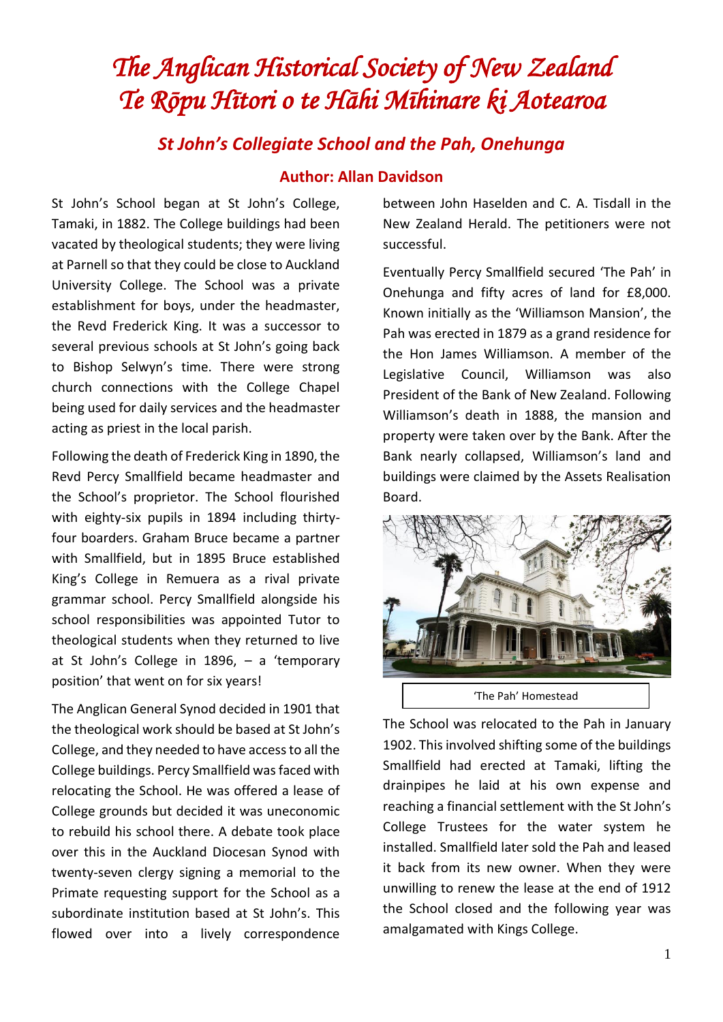## *The Anglican Historical Society of New Zealand Te Rōpu Hītori o te Hāhi Mīhinare ki Aotearoa*

## *St John's Collegiate School and the Pah, Onehunga* **Author: Allan Davidson**

St John's School began at St John's College, Tamaki, in 1882. The College buildings had been vacated by theological students; they were living at Parnell so that they could be close to Auckland University College. The School was a private establishment for boys, under the headmaster, the Revd Frederick King. It was a successor to several previous schools at St John's going back to Bishop Selwyn's time. There were strong church connections with the College Chapel being used for daily services and the headmaster acting as priest in the local parish.

Following the death of Frederick King in 1890, the Revd Percy Smallfield became headmaster and the School's proprietor. The School flourished with eighty-six pupils in 1894 including thirtyfour boarders. Graham Bruce became a partner with Smallfield, but in 1895 Bruce established King's College in Remuera as a rival private grammar school. Percy Smallfield alongside his school responsibilities was appointed Tutor to theological students when they returned to live at St John's College in 1896, – a 'temporary position' that went on for six years!

The Anglican General Synod decided in 1901 that the theological work should be based at St John's College, and they needed to have access to all the College buildings. Percy Smallfield was faced with relocating the School. He was offered a lease of College grounds but decided it was uneconomic to rebuild his school there. A debate took place over this in the Auckland Diocesan Synod with twenty-seven clergy signing a memorial to the Primate requesting support for the School as a subordinate institution based at St John's. This flowed over into a lively correspondence

between John Haselden and C. A. Tisdall in the New Zealand Herald. The petitioners were not successful.

Eventually Percy Smallfield secured 'The Pah' in Onehunga and fifty acres of land for £8,000. Known initially as the 'Williamson Mansion', the Pah was erected in 1879 as a grand residence for the Hon James Williamson. A member of the Legislative Council, Williamson was also President of the Bank of New Zealand. Following Williamson's death in 1888, the mansion and property were taken over by the Bank. After the Bank nearly collapsed, Williamson's land and buildings were claimed by the Assets Realisation Board.



The School was relocated to the Pah in January 1902. This involved shifting some of the buildings Smallfield had erected at Tamaki, lifting the drainpipes he laid at his own expense and reaching a financial settlement with the St John's College Trustees for the water system he installed. Smallfield later sold the Pah and leased it back from its new owner. When they were unwilling to renew the lease at the end of 1912 the School closed and the following year was amalgamated with Kings College.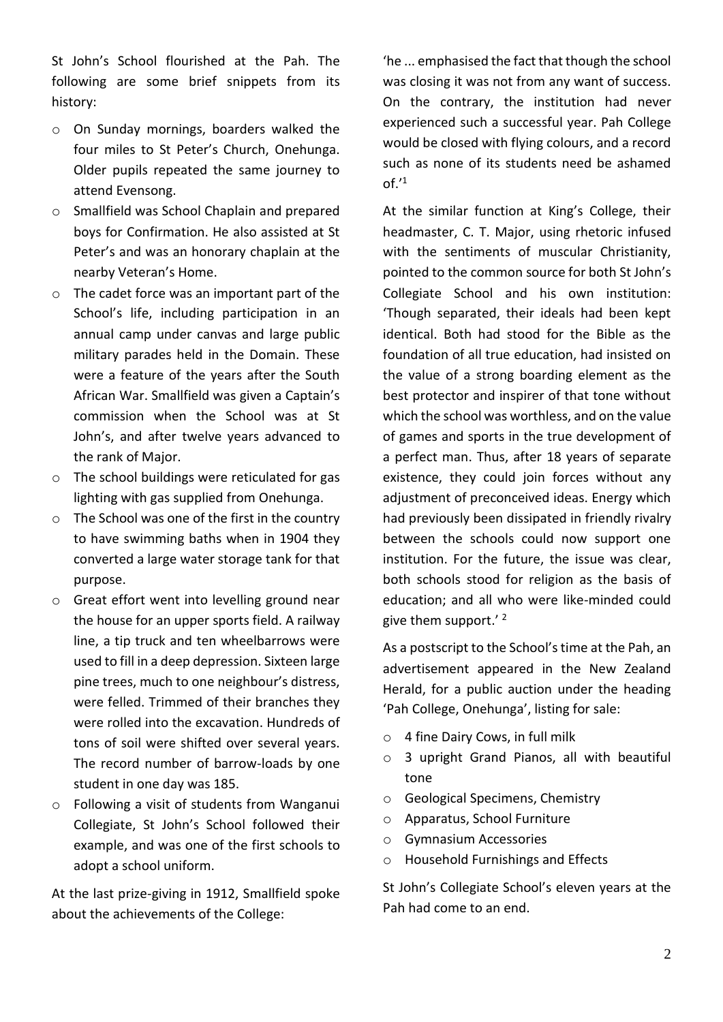St John's School flourished at the Pah. The following are some brief snippets from its history:

- o On Sunday mornings, boarders walked the four miles to St Peter's Church, Onehunga. Older pupils repeated the same journey to attend Evensong.
- o Smallfield was School Chaplain and prepared boys for Confirmation. He also assisted at St Peter's and was an honorary chaplain at the nearby Veteran's Home.
- o The cadet force was an important part of the School's life, including participation in an annual camp under canvas and large public military parades held in the Domain. These were a feature of the years after the South African War. Smallfield was given a Captain's commission when the School was at St John's, and after twelve years advanced to the rank of Major.
- o The school buildings were reticulated for gas lighting with gas supplied from Onehunga.
- o The School was one of the first in the country to have swimming baths when in 1904 they converted a large water storage tank for that purpose.
- o Great effort went into levelling ground near the house for an upper sports field. A railway line, a tip truck and ten wheelbarrows were used to fill in a deep depression. Sixteen large pine trees, much to one neighbour's distress, were felled. Trimmed of their branches they were rolled into the excavation. Hundreds of tons of soil were shifted over several years. The record number of barrow-loads by one student in one day was 185.
- o Following a visit of students from Wanganui Collegiate, St John's School followed their example, and was one of the first schools to adopt a school uniform.

At the last prize-giving in 1912, Smallfield spoke about the achievements of the College:

'he ... emphasised the fact that though the school was closing it was not from any want of success. On the contrary, the institution had never experienced such a successful year. Pah College would be closed with flying colours, and a record such as none of its students need be ashamed of.' 1

At the similar function at King's College, their headmaster, C. T. Major, using rhetoric infused with the sentiments of muscular Christianity, pointed to the common source for both St John's Collegiate School and his own institution: 'Though separated, their ideals had been kept identical. Both had stood for the Bible as the foundation of all true education, had insisted on the value of a strong boarding element as the best protector and inspirer of that tone without which the school was worthless, and on the value of games and sports in the true development of a perfect man. Thus, after 18 years of separate existence, they could join forces without any adjustment of preconceived ideas. Energy which had previously been dissipated in friendly rivalry between the schools could now support one institution. For the future, the issue was clear, both schools stood for religion as the basis of education; and all who were like-minded could give them support.'<sup>2</sup>

As a postscript to the School's time at the Pah, an advertisement appeared in the New Zealand Herald, for a public auction under the heading 'Pah College, Onehunga', listing for sale:

- o 4 fine Dairy Cows, in full milk
- o 3 upright Grand Pianos, all with beautiful tone
- o Geological Specimens, Chemistry
- o Apparatus, School Furniture
- o Gymnasium Accessories
- o Household Furnishings and Effects

St John's Collegiate School's eleven years at the Pah had come to an end.